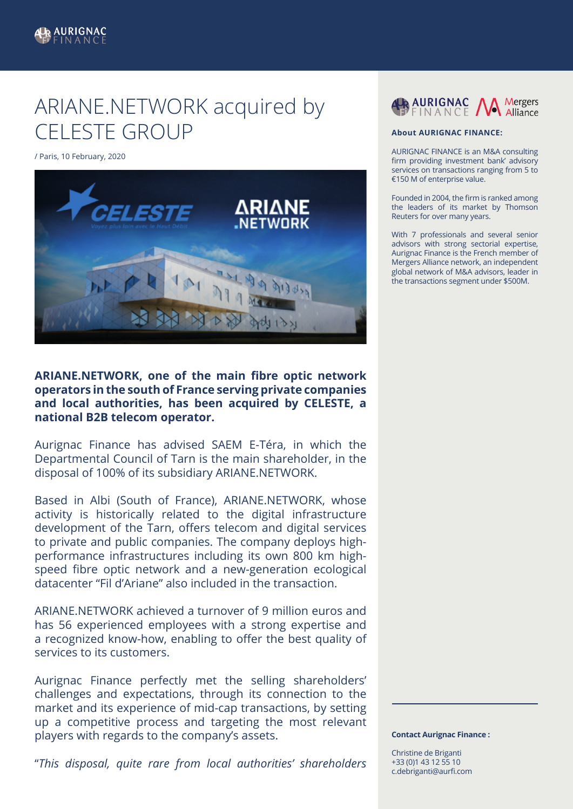## ARIANE.NETWORK acquired by CELESTE GROUP

/ Paris, 10 February, 2020



**ARIANE.NETWORK, one of the main fibre optic network operators in the south of France serving private companies and local authorities, has been acquired by CELESTE, a national B2B telecom operator.**

Aurignac Finance has advised SAEM E-Téra, in which the Departmental Council of Tarn is the main shareholder, in the disposal of 100% of its subsidiary ARIANE.NETWORK.

Based in Albi (South of France), ARIANE.NETWORK, whose activity is historically related to the digital infrastructure development of the Tarn, offers telecom and digital services to private and public companies. The company deploys highperformance infrastructures including its own 800 km highspeed fibre optic network and a new-generation ecological datacenter "Fil d'Ariane" also included in the transaction.

ARIANE.NETWORK achieved a turnover of 9 million euros and has 56 experienced employees with a strong expertise and a recognized know-how, enabling to offer the best quality of services to its customers.

Aurignac Finance perfectly met the selling shareholders' challenges and expectations, through its connection to the market and its experience of mid-cap transactions, by setting up a competitive process and targeting the most relevant players with regards to the company's assets.

"*This disposal, quite rare from local authorities' shareholders* 



## **About AURIGNAC FINANCE:**

AURIGNAC FINANCE is an M&A consulting firm providing investment bank' advisory services on transactions ranging from 5 to €150 M of enterprise value.

Founded in 2004, the firm is ranked among the leaders of its market by Thomson Reuters for over many years.

With 7 professionals and several senior advisors with strong sectorial expertise, Aurignac Finance is the French member of Mergers Alliance network, an independent global network of M&A advisors, leader in the transactions segment under \$500M.

## **Contact Aurignac Finance :**

Christine de Briganti +33 (0)1 43 12 55 10 c.debriganti@aurfi.com